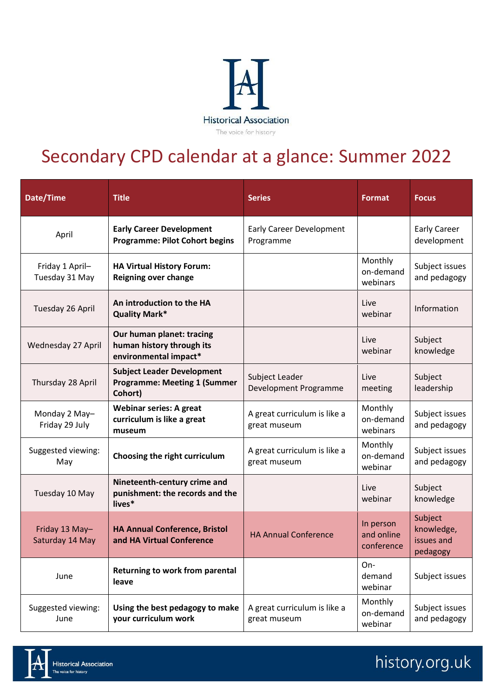

## Secondary CPD calendar at a glance: Summer 2022

| Date/Time                         | <b>Title</b>                                                                        | <b>Series</b>                                | <b>Format</b>                         | <b>Focus</b>                                    |
|-----------------------------------|-------------------------------------------------------------------------------------|----------------------------------------------|---------------------------------------|-------------------------------------------------|
| April                             | <b>Early Career Development</b><br><b>Programme: Pilot Cohort begins</b>            | <b>Early Career Development</b><br>Programme |                                       | <b>Early Career</b><br>development              |
| Friday 1 April-<br>Tuesday 31 May | <b>HA Virtual History Forum:</b><br><b>Reigning over change</b>                     |                                              | Monthly<br>on-demand<br>webinars      | Subject issues<br>and pedagogy                  |
| Tuesday 26 April                  | An introduction to the HA<br><b>Quality Mark*</b>                                   |                                              | Live<br>webinar                       | Information                                     |
| Wednesday 27 April                | Our human planet: tracing<br>human history through its<br>environmental impact*     |                                              | Live<br>webinar                       | Subject<br>knowledge                            |
| Thursday 28 April                 | <b>Subject Leader Development</b><br><b>Programme: Meeting 1 (Summer</b><br>Cohort) | Subject Leader<br>Development Programme      | Live<br>meeting                       | Subject<br>leadership                           |
| Monday 2 May-<br>Friday 29 July   | <b>Webinar series: A great</b><br>curriculum is like a great<br>museum              | A great curriculum is like a<br>great museum | Monthly<br>on-demand<br>webinars      | Subject issues<br>and pedagogy                  |
| Suggested viewing:<br>May         | Choosing the right curriculum                                                       | A great curriculum is like a<br>great museum | Monthly<br>on-demand<br>webinar       | Subject issues<br>and pedagogy                  |
| Tuesday 10 May                    | Nineteenth-century crime and<br>punishment: the records and the<br>lives*           |                                              | Live<br>webinar                       | Subject<br>knowledge                            |
| Friday 13 May-<br>Saturday 14 May | <b>HA Annual Conference, Bristol</b><br>and HA Virtual Conference                   | <b>HA Annual Conference</b>                  | In person<br>and online<br>conference | Subject<br>knowledge,<br>issues and<br>pedagogy |
| June                              | Returning to work from parental<br>leave                                            |                                              | On-<br>demand<br>webinar              | Subject issues                                  |
| Suggested viewing:<br>June        | Using the best pedagogy to make<br>your curriculum work                             | A great curriculum is like a<br>great museum | Monthly<br>on-demand<br>webinar       | Subject issues<br>and pedagogy                  |



## history.org.uk